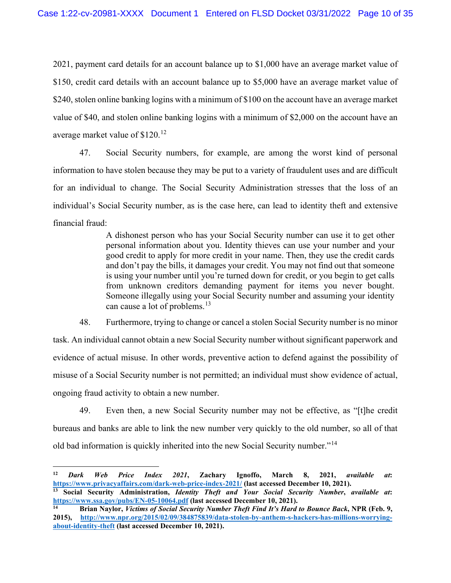2021, payment card details for an account balance up to \$1,000 have an average market value of \$150, credit card details with an account balance up to \$5,000 have an average market value of \$240, stolen online banking logins with a minimum of \$100 on the account have an average market value of \$40, and stolen online banking logins with a minimum of \$2,000 on the account have an average market value of \$120.[12](#page-9-0)

47. Social Security numbers, for example, are among the worst kind of personal information to have stolen because they may be put to a variety of fraudulent uses and are difficult for an individual to change. The Social Security Administration stresses that the loss of an individual's Social Security number, as is the case here, can lead to identity theft and extensive financial fraud:

> A dishonest person who has your Social Security number can use it to get other personal information about you. Identity thieves can use your number and your good credit to apply for more credit in your name. Then, they use the credit cards and don't pay the bills, it damages your credit. You may not find out that someone is using your number until you're turned down for credit, or you begin to get calls from unknown creditors demanding payment for items you never bought. Someone illegally using your Social Security number and assuming your identity can cause a lot of problems.<sup>[13](#page-9-1)</sup>

48. Furthermore, trying to change or cancel a stolen Social Security number is no minor task. An individual cannot obtain a new Social Security number without significant paperwork and evidence of actual misuse. In other words, preventive action to defend against the possibility of misuse of a Social Security number is not permitted; an individual must show evidence of actual, ongoing fraud activity to obtain a new number.

49. Even then, a new Social Security number may not be effective, as "[t]he credit bureaus and banks are able to link the new number very quickly to the old number, so all of that old bad information is quickly inherited into the new Social Security number."[14](#page-9-2)

<span id="page-9-0"></span>**<sup>12</sup>** *Dark Web Price Index 2021***, Zachary Ignoffo, March 8, 2021,** *available at***: <https://www.privacyaffairs.com/dark-web-price-index-2021/> (last accessed December 10, 2021).**

<span id="page-9-1"></span>**<sup>13</sup> Social Security Administration,** *Identity Theft and Your Social Security Number***,** *available at***: <https://www.ssa.gov/pubs/EN-05-10064.pdf> (last accessed December 10, 2021).**

<span id="page-9-2"></span>**<sup>14</sup> Brian Naylor,** *Victims of Social Security Number Theft Find It's Hard to Bounce Back***, NPR (Feb. 9, 2015), [http://www.npr.org/2015/02/09/384875839/data-stolen-by-anthem-s-hackers-has-millions-worrying](http://www.npr.org/2015/02/09/384875839/data-stolen-by-anthem-s-hackers-has-millions-worrying-about-identity-theft)[about-identity-theft](http://www.npr.org/2015/02/09/384875839/data-stolen-by-anthem-s-hackers-has-millions-worrying-about-identity-theft) (last accessed December 10, 2021).**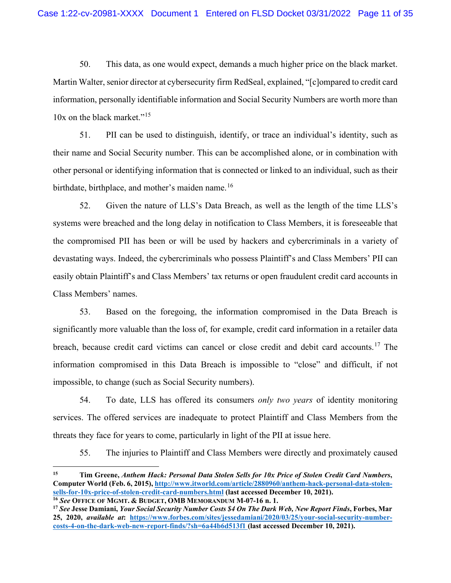50. This data, as one would expect, demands a much higher price on the black market. Martin Walter, senior director at cybersecurity firm RedSeal, explained, "[c]ompared to credit card information, personally identifiable information and Social Security Numbers are worth more than 10x on the black market."<sup>[15](#page-10-0)</sup>

51. PII can be used to distinguish, identify, or trace an individual's identity, such as their name and [Social Security number.](http://itlaw.wikia.com/wiki/Social_security_number) This can be accomplished alone, or in combination with other personal or identifying [information](http://itlaw.wikia.com/wiki/Information) that is connected or linked to an individual, such as their birthdate, birthplace, and mother's maiden name.<sup>[16](#page-10-1)</sup>

52. Given the nature of LLS's Data Breach, as well as the length of the time LLS's systems were breached and the long delay in notification to Class Members, it is foreseeable that the compromised PII has been or will be used by hackers and cybercriminals in a variety of devastating ways. Indeed, the cybercriminals who possess Plaintiff's and Class Members' PII can easily obtain Plaintiff's and Class Members' tax returns or open fraudulent credit card accounts in Class Members' names.

53. Based on the foregoing, the information compromised in the Data Breach is significantly more valuable than the loss of, for example, credit card information in a retailer data breach, because credit card victims can cancel or close credit and debit card accounts.<sup>[17](#page-10-2)</sup> The information compromised in this Data Breach is impossible to "close" and difficult, if not impossible, to change (such as Social Security numbers).

54. To date, LLS has offered its consumers *only two years* of identity monitoring services. The offered services are inadequate to protect Plaintiff and Class Members from the threats they face for years to come, particularly in light of the PII at issue here.

55. The injuries to Plaintiff and Class Members were directly and proximately caused

<span id="page-10-0"></span>**<sup>15</sup> Tim Greene,** *Anthem Hack: Personal Data Stolen Sells for 10x Price of Stolen Credit Card Numbers***, Computer World (Feb. 6, 2015), [http://www.itworld.com/article/2880960/anthem-hack-personal-data-stolen](http://www.itworld.com/article/2880960/anthem-hack-personal-data-stolen-sells-for-10x-price-of-stolen-credit-card-numbers.html)[sells-for-10x-price-of-stolen-credit-card-numbers.html](http://www.itworld.com/article/2880960/anthem-hack-personal-data-stolen-sells-for-10x-price-of-stolen-credit-card-numbers.html) (last accessed December 10, 2021). <sup>16</sup>** *See* **OFFICE OF MGMT. & BUDGET, OMB [MEMORANDUM M-07-16](http://itlaw.wikia.com/wiki/OMB_Memorandum_M-07-16) n. 1.**

<span id="page-10-2"></span><span id="page-10-1"></span>**<sup>17</sup>** *See* **Jesse Damiani,** *Your Social Security Number Costs \$4 On The Dark Web, New Report Finds***, Forbes, Mar 25, 2020,** *available at***: [https://www.forbes.com/sites/jessedamiani/2020/03/25/your-social-security-number](https://www.forbes.com/sites/jessedamiani/2020/03/25/your-social-security-number-costs-4-on-the-dark-web-new-report-finds/?sh=6a44b6d513f1)[costs-4-on-the-dark-web-new-report-finds/?sh=6a44b6d513f1](https://www.forbes.com/sites/jessedamiani/2020/03/25/your-social-security-number-costs-4-on-the-dark-web-new-report-finds/?sh=6a44b6d513f1) (last accessed December 10, 2021).**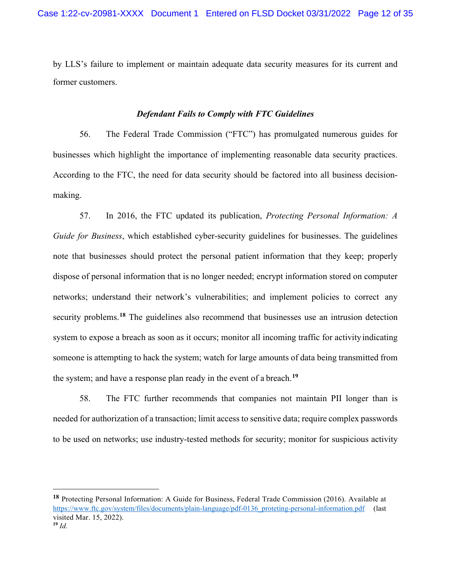by LLS's failure to implement or maintain adequate data security measures for its current and former customers.

# *Defendant Fails to Comply with FTC Guidelines*

56. The Federal Trade Commission ("FTC") has promulgated numerous guides for businesses which highlight the importance of implementing reasonable data security practices. According to the FTC, the need for data security should be factored into all business decisionmaking.

57. In 2016, the FTC updated its publication, *Protecting Personal Information: A Guide for Business*, which established cyber-security guidelines for businesses. The guidelines note that businesses should protect the personal patient information that they keep; properly dispose of personal information that is no longer needed; encrypt information stored on computer networks; understand their network's vulnerabilities; and implement policies to correct any security problems.<sup>[18](#page-11-0)</sup> The guidelines also recommend that businesses use an intrusion detection system to expose a breach as soon as it occurs; monitor all incoming traffic for activity indicating someone is attempting to hack the system; watch for large amounts of data being transmitted from the system; and have a response plan ready in the event of a breach.**[19](#page-11-1)**

58. The FTC further recommends that companies not maintain PII longer than is needed for authorization of a transaction; limit access to sensitive data; require complex passwords to be used on networks; use industry-tested methods for security; monitor for suspicious activity

<span id="page-11-1"></span><span id="page-11-0"></span>**<sup>18</sup>** Protecting Personal Information: A Guide for Business, Federal Trade Commission (2016). Available at https:/[/www.ftc.gov/system/files/documents/plain-language/pdf-0136\\_proteting-personal-information.pdf](http://www.ftc.gov/system/files/documents/plain-language/pdf-0136_proteting-personal-information.pdf) (last visited Mar. 15, 2022).  $19$   $Id.$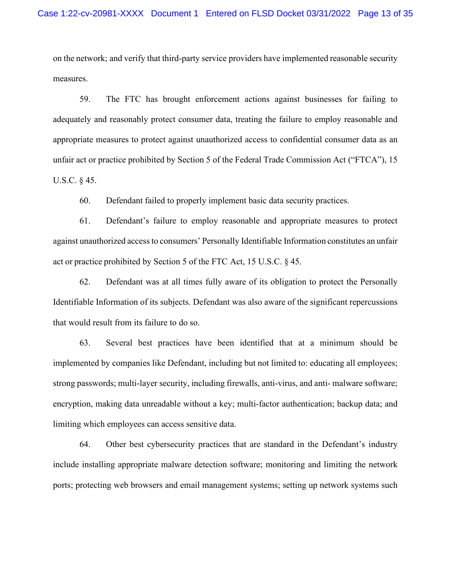on the network; and verify that third-party service providers have implemented reasonable security measures.

59. The FTC has brought enforcement actions against businesses for failing to adequately and reasonably protect consumer data, treating the failure to employ reasonable and appropriate measures to protect against unauthorized access to confidential consumer data as an unfair act or practice prohibited by Section 5 of the Federal Trade Commission Act ("FTCA"), 15 U.S.C. § 45.

60. Defendant failed to properly implement basic data security practices.

61. Defendant's failure to employ reasonable and appropriate measures to protect against unauthorized accessto consumers' Personally Identifiable Information constitutes an unfair act or practice prohibited by Section 5 of the FTC Act, 15 U.S.C. § 45.

62. Defendant was at all times fully aware of its obligation to protect the Personally Identifiable Information of its subjects. Defendant was also aware of the significant repercussions that would result from its failure to do so.

63. Several best practices have been identified that at a minimum should be implemented by companies like Defendant, including but not limited to: educating all employees; strong passwords; multi-layer security, including firewalls, anti-virus, and anti- malware software; encryption, making data unreadable without a key; multi-factor authentication; backup data; and limiting which employees can access sensitive data.

64. Other best cybersecurity practices that are standard in the Defendant's industry include installing appropriate malware detection software; monitoring and limiting the network ports; protecting web browsers and email management systems; setting up network systems such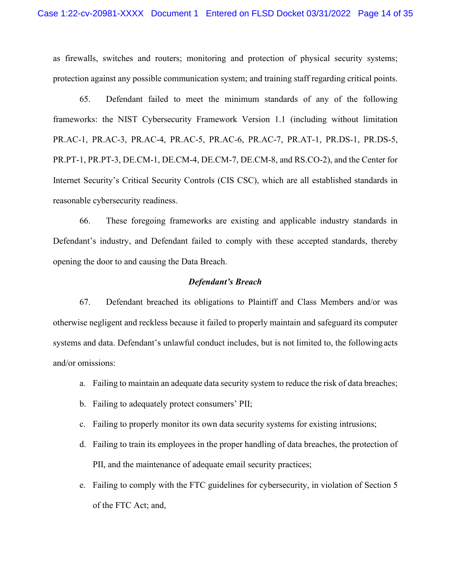as firewalls, switches and routers; monitoring and protection of physical security systems; protection against any possible communication system; and training staff regarding critical points.

65. Defendant failed to meet the minimum standards of any of the following frameworks: the NIST Cybersecurity Framework Version 1.1 (including without limitation PR.AC-1, PR.AC-3, PR.AC-4, PR.AC-5, PR.AC-6, PR.AC-7, PR.AT-1, PR.DS-1, PR.DS-5, PR.PT-1, PR.PT-3, DE.CM-1, DE.CM-4, DE.CM-7, DE.CM-8, and RS.CO-2), and the Center for Internet Security's Critical Security Controls (CIS CSC), which are all established standards in reasonable cybersecurity readiness.

66. These foregoing frameworks are existing and applicable industry standards in Defendant's industry, and Defendant failed to comply with these accepted standards, thereby opening the door to and causing the Data Breach.

# *Defendant's Breach*

67. Defendant breached its obligations to Plaintiff and Class Members and/or was otherwise negligent and reckless because it failed to properly maintain and safeguard its computer systems and data. Defendant's unlawful conduct includes, but is not limited to, the following acts and/or omissions:

- a. Failing to maintain an adequate data security system to reduce the risk of data breaches;
- b. Failing to adequately protect consumers' PII;
- c. Failing to properly monitor its own data security systems for existing intrusions;
- d. Failing to train its employees in the proper handling of data breaches, the protection of PII, and the maintenance of adequate email security practices;
- e. Failing to comply with the FTC guidelines for cybersecurity, in violation of Section 5 of the FTC Act; and,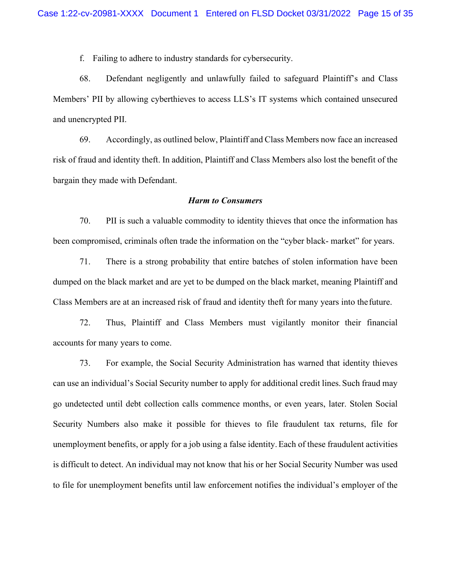f. Failing to adhere to industry standards for cybersecurity.

68. Defendant negligently and unlawfully failed to safeguard Plaintiff's and Class Members' PII by allowing cyberthieves to access LLS's IT systems which contained unsecured and unencrypted PII.

69. Accordingly, as outlined below, Plaintiff and Class Members now face an increased risk of fraud and identity theft. In addition, Plaintiff and Class Members also lost the benefit of the bargain they made with Defendant.

## *Harm to Consumers*

70. PII is such a valuable commodity to identity thieves that once the information has been compromised, criminals often trade the information on the "cyber black- market" for years.

71. There is a strong probability that entire batches of stolen information have been dumped on the black market and are yet to be dumped on the black market, meaning Plaintiff and Class Members are at an increased risk of fraud and identity theft for many years into the future.

72. Thus, Plaintiff and Class Members must vigilantly monitor their financial accounts for many years to come.

73. For example, the Social Security Administration has warned that identity thieves can use an individual's Social Security number to apply for additional credit lines. Such fraud may go undetected until debt collection calls commence months, or even years, later. Stolen Social Security Numbers also make it possible for thieves to file fraudulent tax returns, file for unemployment benefits, or apply for a job using a false identity.Each of these fraudulent activities is difficult to detect. An individual may not know that his or her Social Security Number was used to file for unemployment benefits until law enforcement notifies the individual's employer of the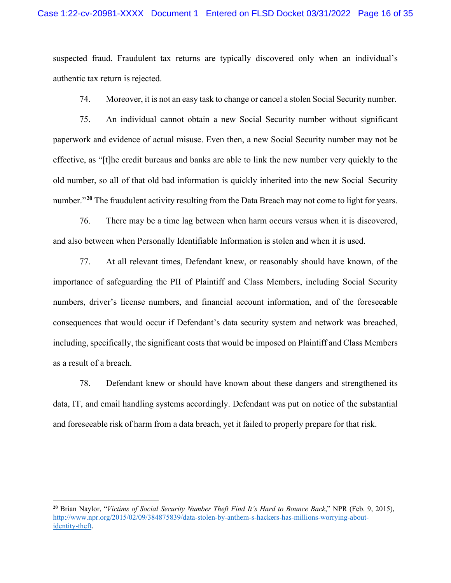suspected fraud. Fraudulent tax returns are typically discovered only when an individual's authentic tax return is rejected.

74. Moreover, it is not an easy task to change or cancel a stolen Social Security number.

75. An individual cannot obtain a new Social Security number without significant paperwork and evidence of actual misuse. Even then, a new Social Security number may not be effective, as "[t]he credit bureaus and banks are able to link the new number very quickly to the old number, so all of that old bad information is quickly inherited into the new Social Security number."<sup>[20](#page-15-0)</sup> The fraudulent activity resulting from the Data Breach may not come to light for years.

76. There may be a time lag between when harm occurs versus when it is discovered, and also between when Personally Identifiable Information is stolen and when it is used.

77. At all relevant times, Defendant knew, or reasonably should have known, of the importance of safeguarding the PII of Plaintiff and Class Members, including Social Security numbers, driver's license numbers, and financial account information, and of the foreseeable consequences that would occur if Defendant's data security system and network was breached, including, specifically, the significant costs that would be imposed on Plaintiff and Class Members as a result of a breach.

78. Defendant knew or should have known about these dangers and strengthened its data, IT, and email handling systems accordingly. Defendant was put on notice of the substantial and foreseeable risk of harm from a data breach, yet it failed to properly prepare for that risk.

<span id="page-15-0"></span>**<sup>20</sup>** Brian Naylor, "*Victims of Social Security Number Theft Find It's Hard to Bounce Back*," NPR (Feb. 9, 2015), [http://www.npr.org/2015/02/09/384875839/data-stolen-by-anthem-s-hackers-has-millions-worrying-about](http://www.npr.org/2015/02/09/384875839/data-stolen-by-anthem-s-hackers-has-millions-worrying-about-)identity-theft.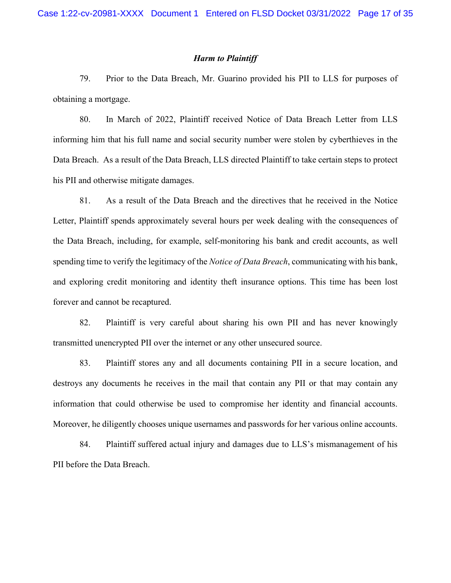### *Harm to Plaintiff*

79. Prior to the Data Breach, Mr. Guarino provided his PII to LLS for purposes of obtaining a mortgage.

80. In March of 2022, Plaintiff received Notice of Data Breach Letter from LLS informing him that his full name and social security number were stolen by cyberthieves in the Data Breach. As a result of the Data Breach, LLS directed Plaintiff to take certain steps to protect his PII and otherwise mitigate damages.

81. As a result of the Data Breach and the directives that he received in the Notice Letter, Plaintiff spends approximately several hours per week dealing with the consequences of the Data Breach, including, for example, self-monitoring his bank and credit accounts, as well spending time to verify the legitimacy of the *Notice of Data Breach*, communicating with his bank, and exploring credit monitoring and identity theft insurance options. This time has been lost forever and cannot be recaptured.

82. Plaintiff is very careful about sharing his own PII and has never knowingly transmitted unencrypted PII over the internet or any other unsecured source.

83. Plaintiff stores any and all documents containing PII in a secure location, and destroys any documents he receives in the mail that contain any PII or that may contain any information that could otherwise be used to compromise her identity and financial accounts. Moreover, he diligently chooses unique usernames and passwords for her various online accounts.

84. Plaintiff suffered actual injury and damages due to LLS's mismanagement of his PII before the Data Breach.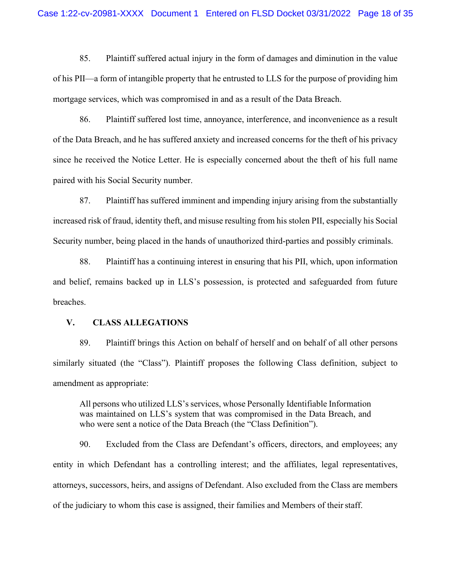85. Plaintiff suffered actual injury in the form of damages and diminution in the value of his PII—a form of intangible property that he entrusted to LLS for the purpose of providing him mortgage services, which was compromised in and as a result of the Data Breach.

86. Plaintiff suffered lost time, annoyance, interference, and inconvenience as a result of the Data Breach, and he has suffered anxiety and increased concerns for the theft of his privacy since he received the Notice Letter. He is especially concerned about the theft of his full name paired with his Social Security number.

87. Plaintiff has suffered imminent and impending injury arising from the substantially increased risk of fraud, identity theft, and misuse resulting from his stolen PII, especially his Social Security number, being placed in the hands of unauthorized third-parties and possibly criminals.

88. Plaintiff has a continuing interest in ensuring that his PII, which, upon information and belief, remains backed up in LLS's possession, is protected and safeguarded from future breaches.

### **V. CLASS ALLEGATIONS**

89. Plaintiff brings this Action on behalf of herself and on behalf of all other persons similarly situated (the "Class"). Plaintiff proposes the following Class definition, subject to amendment as appropriate:

All persons who utilized LLS's services, whose Personally Identifiable Information was maintained on LLS's system that was compromised in the Data Breach, and who were sent a notice of the Data Breach (the "Class Definition").

90. Excluded from the Class are Defendant's officers, directors, and employees; any entity in which Defendant has a controlling interest; and the affiliates, legal representatives, attorneys, successors, heirs, and assigns of Defendant. Also excluded from the Class are members of the judiciary to whom this case is assigned, their families and Members of their staff.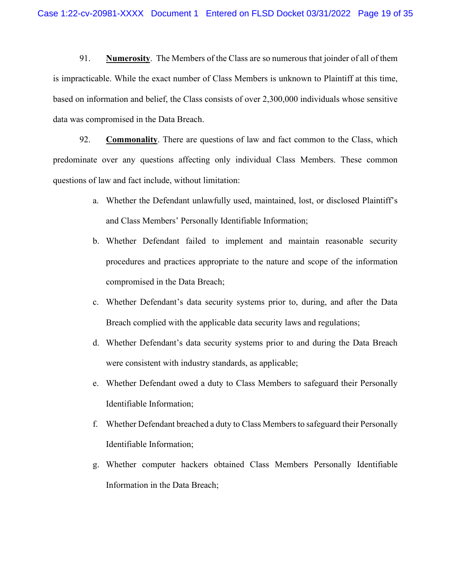91. **Numerosity**. The Members of the Class are so numerous that joinder of all of them is impracticable. While the exact number of Class Members is unknown to Plaintiff at this time, based on information and belief, the Class consists of over 2,300,000 individuals whose sensitive data was compromised in the Data Breach.

92. **Commonality**. There are questions of law and fact common to the Class, which predominate over any questions affecting only individual Class Members. These common questions of law and fact include, without limitation:

- a. Whether the Defendant unlawfully used, maintained, lost, or disclosed Plaintiff's and Class Members' Personally Identifiable Information;
- b. Whether Defendant failed to implement and maintain reasonable security procedures and practices appropriate to the nature and scope of the information compromised in the Data Breach;
- c. Whether Defendant's data security systems prior to, during, and after the Data Breach complied with the applicable data security laws and regulations;
- d. Whether Defendant's data security systems prior to and during the Data Breach were consistent with industry standards, as applicable;
- e. Whether Defendant owed a duty to Class Members to safeguard their Personally Identifiable Information;
- f. Whether Defendant breached a duty to Class Members to safeguard their Personally Identifiable Information;
- g. Whether computer hackers obtained Class Members Personally Identifiable Information in the Data Breach;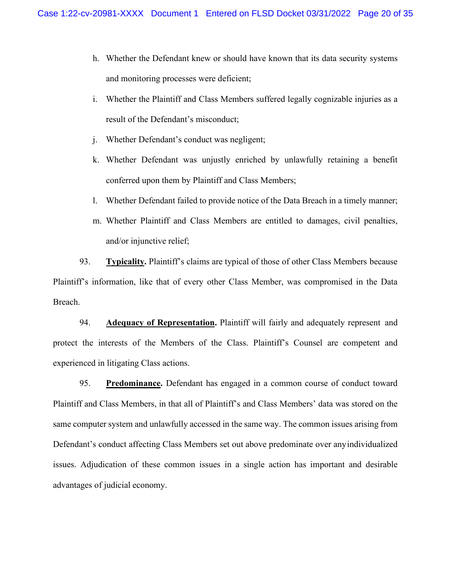- h. Whether the Defendant knew or should have known that its data security systems and monitoring processes were deficient;
- i. Whether the Plaintiff and Class Members suffered legally cognizable injuries as a result of the Defendant's misconduct;
- j. Whether Defendant's conduct was negligent;
- k. Whether Defendant was unjustly enriched by unlawfully retaining a benefit conferred upon them by Plaintiff and Class Members;
- l. Whether Defendant failed to provide notice of the Data Breach in a timely manner;
- m. Whether Plaintiff and Class Members are entitled to damages, civil penalties, and/or injunctive relief;

93. **Typicality.** Plaintiff's claims are typical of those of other Class Members because Plaintiff's information, like that of every other Class Member, was compromised in the Data Breach.

94. **Adequacy of Representation.** Plaintiff will fairly and adequately represent and protect the interests of the Members of the Class. Plaintiff's Counsel are competent and experienced in litigating Class actions.

95. **Predominance.** Defendant has engaged in a common course of conduct toward Plaintiff and Class Members, in that all of Plaintiff's and Class Members' data was stored on the same computer system and unlawfully accessed in the same way. The common issues arising from Defendant's conduct affecting Class Members set out above predominate over any individualized issues. Adjudication of these common issues in a single action has important and desirable advantages of judicial economy.